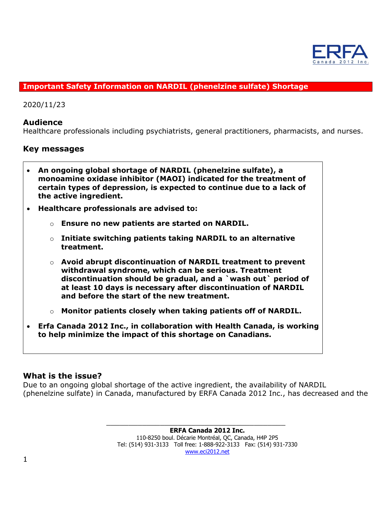

## **Important Safety Information on NARDIL (phenelzine sulfate) Shortage**

2020/11/23

## **Audience**

Healthcare professionals including psychiatrists, general practitioners, pharmacists, and nurses.

## **Key messages**

- **An ongoing global shortage of NARDIL (phenelzine sulfate), a monoamine oxidase inhibitor (MAOI) indicated for the treatment of certain types of depression, is expected to continue due to a lack of the active ingredient.**
- **Healthcare professionals are advised to:**
	- o **Ensure no new patients are started on NARDIL.**
	- o **Initiate switching patients taking NARDIL to an alternative treatment.**
	- o **Avoid abrupt discontinuation of NARDIL treatment to prevent withdrawal syndrome, which can be serious. Treatment discontinuation should be gradual, and a `wash out` period of at least 10 days is necessary after discontinuation of NARDIL and before the start of the new treatment.**
	- o **Monitor patients closely when taking patients off of NARDIL.**
- **Erfa Canada 2012 Inc., in collaboration with Health Canada, is working to help minimize the impact of this shortage on Canadians.**

## **What is the issue?**

Due to an ongoing global shortage of the active ingredient, the availability of NARDIL (phenelzine sulfate) in Canada, manufactured by ERFA Canada 2012 Inc., has decreased and the

> \_\_\_\_\_\_\_\_\_\_\_\_\_\_\_\_\_\_\_\_\_\_\_\_\_\_\_\_\_\_\_\_\_\_\_\_\_\_\_\_ **ERFA Canada 2012 Inc.** 110-8250 boul. Décarie Montréal, QC, Canada, H4P 2P5 Tel: (514) 931-3133 Toll free: 1-888-922-3133 Fax: (514) 931-7330 [www.eci2012.net](http://www.eci2012.net/)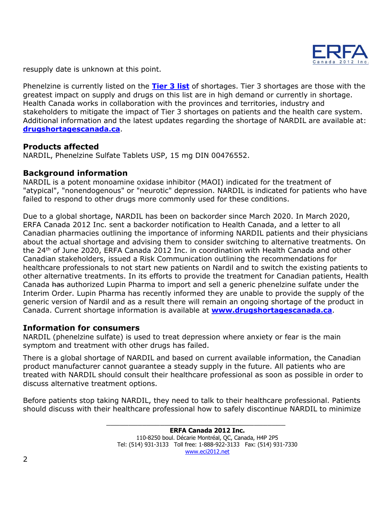

resupply date is unknown at this point.

Phenelzine is currently listed on the **[Tier 3 list](https://www.canada.ca/en/health-canada/services/drugs-health-products/compliance-enforcement/covid19-interim-order-drugs-medical-devices-special-foods/information-provisions-related-drugs-biocides/tier-3-shortages.html)** of shortages. Tier 3 shortages are those with the greatest impact on supply and drugs on this list are in high demand or currently in shortage. Health Canada works in collaboration with the provinces and territories, industry and stakeholders to mitigate the impact of Tier 3 shortages on patients and the health care system. Additional information and the latest updates regarding the shortage of NARDIL are available at: **[drugshortagescanada.ca](http://www.drugshortagescanada.ca/)**.

## **Products affected**

NARDIL, Phenelzine Sulfate Tablets USP, 15 mg DIN 00476552.

## **Background information**

NARDIL is a potent monoamine oxidase inhibitor (MAOI) indicated for the treatment of "atypical", "nonendogenous" or "neurotic" depression. NARDIL is indicated for patients who have failed to respond to other drugs more commonly used for these conditions.

Due to a global shortage, NARDIL has been on backorder since March 2020. In March 2020, ERFA Canada 2012 Inc. sent a backorder notification to Health Canada, and a letter to all Canadian pharmacies outlining the importance of informing NARDIL patients and their physicians about the actual shortage and advising them to consider switching to alternative treatments. On the  $24<sup>th</sup>$  of June 2020, ERFA Canada 2012 Inc. in coordination with Health Canada and other Canadian stakeholders, issued a Risk Communication outlining the recommendations for healthcare professionals to not start new patients on Nardil and to switch the existing patients to other alternative treatments. In its efforts to provide the treatment for Canadian patients, Health Canada has authorized Lupin Pharma to import and sell a generic phenelzine sulfate under the Interim Order. Lupin Pharma has recently informed they are unable to provide the supply of the generic version of Nardil and as a result there will remain an ongoing shortage of the product in Canada. Current shortage information is available at **[www.drugshortagescanada.ca](http://www.drugshortagescanada.ca/)**.

## **Information for consumers**

NARDIL (phenelzine sulfate) is used to treat depression where anxiety or fear is the main symptom and treatment with other drugs has failed.

There is a global shortage of NARDIL and based on current available information, the Canadian product manufacturer cannot guarantee a steady supply in the future. All patients who are treated with NARDIL should consult their healthcare professional as soon as possible in order to discuss alternative treatment options.

Before patients stop taking NARDIL, they need to talk to their healthcare professional. Patients should discuss with their healthcare professional how to safely discontinue NARDIL to minimize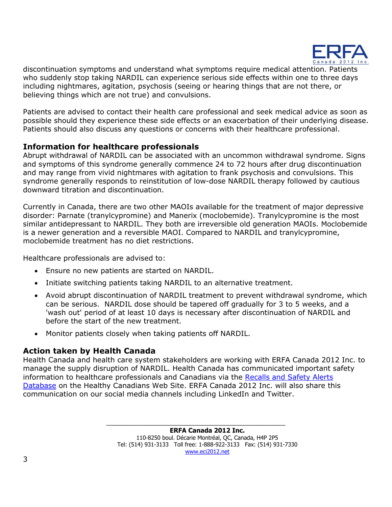

discontinuation symptoms and understand what symptoms require medical attention. Patients who suddenly stop taking NARDIL can experience serious side effects within one to three days including nightmares, agitation, psychosis (seeing or hearing things that are not there, or believing things which are not true) and convulsions.

Patients are advised to contact their health care professional and seek medical advice as soon as possible should they experience these side effects or an exacerbation of their underlying disease. Patients should also discuss any questions or concerns with their healthcare professional.

# **Information for healthcare professionals**

Abrupt withdrawal of NARDIL can be associated with an uncommon withdrawal syndrome. Signs and symptoms of this syndrome generally commence 24 to 72 hours after drug discontinuation and may range from vivid nightmares with agitation to frank psychosis and convulsions. This syndrome generally responds to reinstitution of low-dose NARDIL therapy followed by cautious downward titration and discontinuation.

Currently in Canada, there are two other MAOIs available for the treatment of major depressive disorder: Parnate (tranylcypromine) and Manerix (moclobemide). Tranylcypromine is the most similar antidepressant to NARDIL. They both are irreversible old generation MAOIs. Moclobemide is a newer generation and a reversible MAOI. Compared to NARDIL and tranylcypromine, moclobemide treatment has no diet restrictions.

Healthcare professionals are advised to:

- Ensure no new patients are started on NARDIL.
- Initiate switching patients taking NARDIL to an alternative treatment.
- Avoid abrupt discontinuation of NARDIL treatment to prevent withdrawal syndrome, which can be serious. NARDIL dose should be tapered off gradually for 3 to 5 weeks, and a 'wash out' period of at least 10 days is necessary after discontinuation of NARDIL and before the start of the new treatment.
- Monitor patients closely when taking patients off NARDIL.

# **Action taken by Health Canada**

Health Canada and health care system stakeholders are working with ERFA Canada 2012 Inc. to manage the supply disruption of NARDIL. Health Canada has communicated important safety information to healthcare professionals and Canadians via the [Recalls and Safety Alerts](https://healthycanadians.gc.ca/recall-alert-rappel-avis/index-eng.php)  [Database](https://healthycanadians.gc.ca/recall-alert-rappel-avis/index-eng.php) on the Healthy Canadians Web Site. ERFA Canada 2012 Inc. will also share this communication on our social media channels including LinkedIn and Twitter.